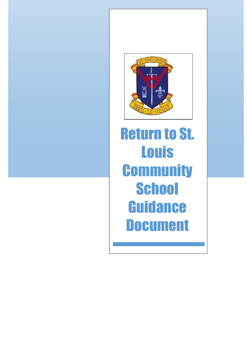

Return to St. Louis **Community School** Guidance **Document**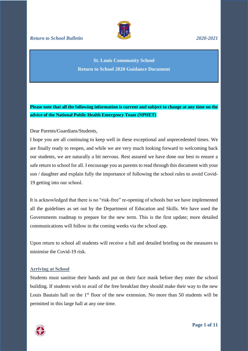

**Return to School 2020 Guidance Document**  $\frac{1}{2}$ **St. Louis Community School Return to School 2020 Guidance Document**

**Please note that all the following information is current and subject to change at any time on the advice of the National Public Health Emergency Team (NPHET)**

Dear Parents/Guardians/Students,

I hope you are all continuing to keep well in these exceptional and unprecedented times. We are finally ready to reopen, and while we are very much looking forward to welcoming back our students, we are naturally a bit nervous. Rest assured we have done our best to ensure a safe return to school for all. I encourage you as parents to read through this document with your son / daughter and explain fully the importance of following the school rules to avoid Covid-19 getting into our school.

It is acknowledged that there is no "risk-free" re-opening of schools but we have implemented all the guidelines as set out by the Department of Education and Skills. We have used the Governments roadmap to prepare for the new term. This is the first update; more detailed communications will follow in the coming weeks via the school app.

Upon return to school all students will receive a full and detailed briefing on the measures to minimise the Covid-19 risk.

#### **Arriving at School**

Students must sanitise their hands and put on their face mask before they enter the school building. If students wish to avail of the free breakfast they should make their way to the new Louis Bautain hall on the  $1<sup>st</sup>$  floor of the new extension. No more than 50 students will be permitted in this large hall at any one time.

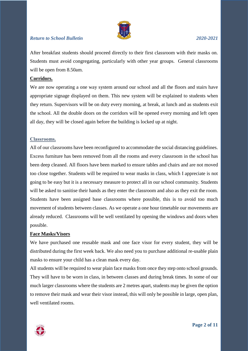

After breakfast students should proceed directly to their first classroom with their masks on. Students must avoid congregating, particularly with other year groups. General classrooms will be open from 8.50am.

### **Corridors.**

We are now operating a one way system around our school and all the floors and stairs have appropriate signage displayed on them. This new system will be explained to students when they return. Supervisors will be on duty every morning, at break, at lunch and as students exit the school. All the double doors on the corridors will be opened every morning and left open all day, they will be closed again before the building is locked up at night.

# **Classrooms.**

All of our classrooms have been reconfigured to accommodate the social distancing guidelines. Excess furniture has been removed from all the rooms and every classroom in the school has been deep cleaned. All floors have been marked to ensure tables and chairs and are not moved too close together. Students will be required to wear masks in class, which I appreciate is not going to be easy but it is a necessary measure to protect all in our school community. Students will be asked to sanitise their hands as they enter the classroom and also as they exit the room. Students have been assigned base classrooms where possible, this is to avoid too much movement of students between classes. As we operate a one hour timetable our movements are already reduced. Classrooms will be well ventilated by opening the windows and doors when possible.

#### **Face Masks/Visors**

We have purchased one reusable mask and one face visor for every student, they will be distributed during the first week back. We also need you to purchase additional re-usable plain masks to ensure your child has a clean mask every day.

All students will be required to wear plain face masks from once they step onto school grounds. They will have to be worn in class, in between classes and during break times. In some of our much larger classrooms where the students are 2 metres apart, students may be given the option to remove their mask and wear their visor instead, this will only be possible in large, open plan, well ventilated rooms.

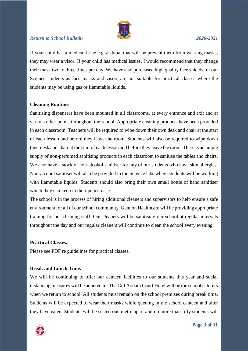

If your child has a medical issue e.g, asthma, that will be prevent them from wearing masks, they may wear a visor. If your child has medical issues, I would recommend that they change their mask two to three times per day. We have also purchased high quality face shields for our Science students as face masks and visors are not suitable for practical classes where the students may be using gas or flammable liquids.

## **Cleaning Routines**

Sanitising dispensers have been mounted in all classrooms, at every entrance and exit and at various other points throughout the school. Appropriate cleaning products have been provided in each classroom. Teachers will be required to wipe down their own desk and chair at the start of each lesson and before they leave the room. Students will also be required to wipe down their desk and chair at the start of each lesson and before they leave the room. There is an ample supply of non-perfumed sanitising products in each classroom to sanitise the tables and chairs. We also have a stock of non-alcohol sanitiser for any of our students who have skin allergies. Non-alcohol sanitiser will also be provided in the Science labs where students will be working with flammable liquids. Students should also bring their own small bottle of hand sanitiser which they can keep in their pencil case.

The school is in the process of hiring additional cleaners and supervisors to help ensure a safe environment for all of our school community. Gannon Healthcare will be providing appropriate training for our cleaning staff. Our cleaners will be sanitising our school at regular intervals throughout the day and our regular cleaners will continue to clean the school every evening.

# **Practical Classes.**

Please see PDF re guidelines for practical classes**.** 

#### **Break and Lunch Time.**

We will be continuing to offer our canteen facilities to our students this year and social distancing measures will be adhered to. The Cill Aodain Court Hotel will be the school caterers when we return to school. All students must remain on the school premises during break time. Students will be expected to wear their masks while queuing in the school canteen and after they have eaten. Students will be seated one metre apart and no more than fifty students will

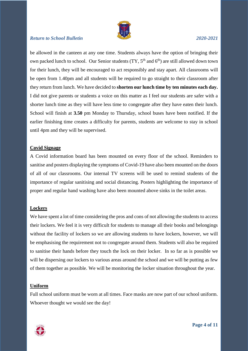

be allowed in the canteen at any one time. Students always have the option of bringing their own packed lunch to school. Our Senior students  $(TY, 5<sup>th</sup>$  and  $6<sup>th</sup>$ ) are still allowed down town for their lunch, they will be encouraged to act responsibly and stay apart. All classrooms will be open from 1.40pm and all students will be required to go straight to their classroom after they return from lunch. We have decided to **shorten our lunch time by ten minutes each day.** I did not give parents or students a voice on this matter as I feel our students are safer with a shorter lunch time as they will have less time to congregate after they have eaten their lunch. School will finish at **3.50** pm Monday to Thursday, school buses have been notified. If the earlier finishing time creates a difficulty for parents, students are welcome to stay in school until 4pm and they will be supervised.

## **Covid Signage**

A Covid information board has been mounted on every floor of the school. Reminders to sanitise and posters displaying the symptoms of Covid-19 have also been mounted on the doors of all of our classrooms. Our internal TV screens will be used to remind students of the importance of regular sanitising and social distancing. Posters highlighting the importance of proper and regular hand washing have also been mounted above sinks in the toilet areas.

#### **Lockers**

We have spent a lot of time considering the pros and cons of not allowing the students to access their lockers. We feel it is very difficult for students to manage all their books and belongings without the facility of lockers so we are allowing students to have lockers, however, we will be emphasising the requirement not to congregate around them. Students will also be required to sanitise their hands before they touch the lock on their locker. In so far as is possible we will be dispersing our lockers to various areas around the school and we will be putting as few of them together as possible. We will be monitoring the locker situation throughout the year.

#### **Uniform**

Full school uniform must be worn at all times. Face masks are now part of our school uniform. Whoever thought we would see the day!

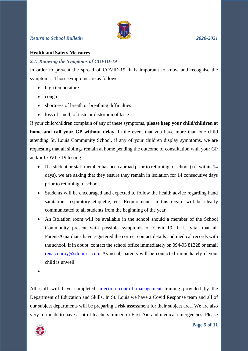

#### **Health and Safety Measures**

#### *2.1: Knowing the Symptoms of COVID-19*

In order to prevent the spread of COVID-19, it is important to know and recognise the symptoms. Those symptoms are as follows:

- high temperature
- $\bullet$  cough
- shortness of breath or breathing difficulties
- loss of smell, of taste or distortion of taste

If your child/children complain of any of these symptoms**, please keep your child/children at home and call your GP without delay**. In the event that you have more than one child attending St. Louis Community School, if any of your children display symptoms, we are requesting that all siblings remain at home pending the outcome of consultation with your GP and/or COVID-19 testing.

- If a student or staff member has been abroad prior to returning to school (i.e. within 14 days), we are asking that they ensure they remain in isolation for 14 consecutive days prior to returning to school.
- Students will be encouraged and expected to follow the health advice regarding hand sanitation, respiratory etiquette, etc. Requirements in this regard will be clearly communicated to all students from the beginning of the year.
- An Isolation room will be available in the school should a member of the School Community present with possible symptoms of Covid-19. It is vital that all Parents/Guardians have registered the correct contact details and medical records with the school. If in doubt, contact the school office immediately on 094-93 81228 or email [rena.conroy@stlouiscs.com](mailto:rena.conroy@stlouiscs.com) As usual, parents will be contacted immediately if your child is unwell.

 $\bullet$ 

All staff will have completed [infection control management](https://www.gov.ie/en/publication/dd7fb-induction-training-for-reopening-schools/) training provided by the Department of Education and Skills. In St. Louis we have a Covid Response team and all of our subject departments will be preparing a risk assessment for their subject area. We are also very fortunate to have a lot of teachers trained in First Aid and medical emergencies. Please

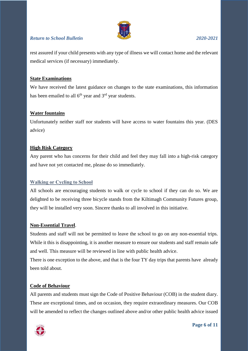

rest assured if your child presents with any type of illness we will contact home and the relevant medical services (if necessary) immediately.

## **State Examinations**

We have received the latest guidance on changes to the state examinations, this information has been emailed to all  $6<sup>th</sup>$  year and  $3<sup>rd</sup>$  year students.

## **Water fountains**

Unfortunately neither staff nor students will have access to water fountains this year. (DES advice)

## **High Risk Category**

Any parent who has concerns for their child and feel they may fall into a high-risk category and have not yet contacted me, please do so immediately.

# **Walking or Cycling to School**

All schools are encouraging students to walk or cycle to school if they can do so. We are delighted to be receiving three bicycle stands from the Kiltimagh Community Futures group, they will be installed very soon. Sincere thanks to all involved in this initiative.

#### **Non-Essential Travel**.

Students and staff will not be permitted to leave the school to go on any non-essential trips. While it this is disappointing, it is another measure to ensure our students and staff remain safe and well. This measure will be reviewed in line with public health advice.

There is one exception to the above, and that is the four TY day trips that parents have already been told about.

#### **Code of Behaviour**

All parents and students must sign the Code of Positive Behaviour (COB) in the student diary. These are exceptional times, and on occasion, they require extraordinary measures. Our COB will be amended to reflect the changes outlined above and/or other public health advice issued

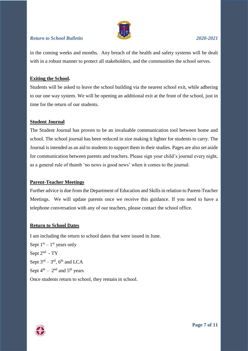

in the coming weeks and months. Any breach of the health and safety systems will be dealt with in a robust manner to protect all stakeholders, and the communities the school serves.

## **Exiting the School.**

Students will be asked to leave the school building via the nearest school exit, while adhering to our one way system. We will be opening an additional exit at the front of the school, just in time for the return of our students.

## **Student Journal**

The Student Journal has proven to be an invaluable communication tool between home and school. The school journal has been reduced in size making it lighter for students to carry. The Journal is intended as an aid to students to support them in their studies. Pages are also set aside for communication between parents and teachers. Please sign your child's journal every night, as a general rule of thumb 'no news is good news' when it comes to the journal.

#### **Parent-Teacher Meetings**

Further advice is due from the Department of Education and Skills in relation to Parent-Teacher Meetings. We will update parents once we receive this guidance. If you need to have a telephone conversation with any of our teachers, please contact the school office.

#### **Return to School Dates**

I am including the return to school dates that were issued in June. Sept  $1<sup>st</sup> - 1<sup>st</sup>$  years only Sept  $2^{nd}$  - TY Sept  $3^{\text{rd}} - 3^{\text{rd}}$ ,  $6^{\text{th}}$  and LCA Sept  $4^{th}$  –  $2^{nd}$  and  $5^{th}$  years Once students return to school, they remain in school.

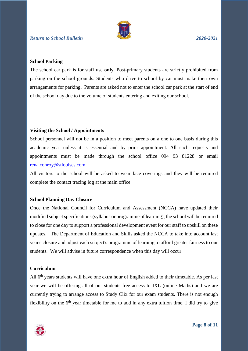

#### **School Parking**

The school car park is for staff use **only**. Post-primary students are strictly prohibited from parking on the school grounds. Students who drive to school by car must make their own arrangements for parking. Parents are asked not to enter the school car park at the start of end of the school day due to the volume of students entering and exiting our school.

#### **Visiting the School / Appointments**

School personnel will not be in a position to meet parents on a one to one basis during this academic year unless it is essential and by prior appointment. All such requests and appointments must be made through the school office 094 93 81228 or email [rena.conroy@stlouiscs.com](mailto:rena.conroy@stlouiscs.com)

All visitors to the school will be asked to wear face coverings and they will be required complete the contact tracing log at the main office.

#### **School Planning Day Closure**

Once the National Council for Curriculum and Assessment (NCCA) have updated their modified subject specifications (syllabus or programme of learning), the school will be required to close for one day to support a professional development event for our staff to upskill on these updates. The Department of Education and Skills asked the NCCA to take into account last year's closure and adjust each subject's programme of learning to afford greater fairness to our students. We will advise in future correspondence when this day will occur.

#### **Curriculum**

All 6<sup>th</sup> years students will have one extra hour of English added to their timetable. As per last year we will be offering all of our students free access to IXL (online Maths) and we are currently trying to arrange access to Study Clix for our exam students. There is not enough flexibility on the  $6<sup>th</sup>$  year timetable for me to add in any extra tuition time. I did try to give

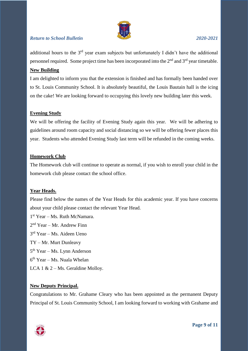

additional hours to the  $3<sup>rd</sup>$  year exam subjects but unfortunately I didn't have the additional personnel required. Some project time has been incorporated into the  $2<sup>nd</sup>$  and  $3<sup>rd</sup>$  year timetable. **New Building**

I am delighted to inform you that the extension is finished and has formally been handed over to St. Louis Community School. It is absolutely beautiful, the Louis Bautain hall is the icing on the cake! We are looking forward to occupying this lovely new building later this week.

## **Evening Study**

We will be offering the facility of Evening Study again this year. We will be adhering to guidelines around room capacity and social distancing so we will be offering fewer places this year. Students who attended Evening Study last term will be refunded in the coming weeks.

## **Homework Club**

The Homework club will continue to operate as normal, if you wish to enroll your child in the homework club please contact the school office.

# **Year Heads.**

Please find below the names of the Year Heads for this academic year. If you have concerns about your child please contact the relevant Year Head.

- 1 st Year Ms. Ruth McNamara.
- 2<sup>nd</sup> Year Mr. Andrew Finn
- 3 rd Year Ms. Aideen Ueno
- TY Mr. Murt Dunleavy
- 5<sup>th</sup> Year Ms. Lynn Anderson
- 6 th Year Ms. Nuala Whelan
- LCA 1  $& 2 Ms$ . Geraldine Molloy.

#### **New Deputy Principal.**

Congratulations to Mr. Grahame Cleary who has been appointed as the permanent Deputy Principal of St. Louis Community School, I am looking forward to working with Grahame and

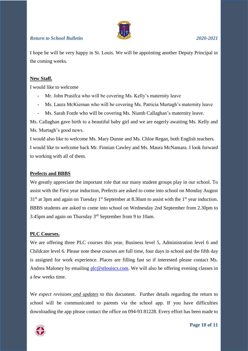

I hope he will be very happy in St. Louis. We will be appointing another Deputy Principal in the coming weeks.

## **New Staff.**

I would like to welcome

- Mr. John Prasifca who will be covering Ms. Kelly's maternity leave
- Ms. Laura McKiernan who will be covering Ms. Patricia Murtagh's maternity leave
- Ms. Sarah Forde who will be covering Ms. Niamh Callaghan's maternity leave.

Ms. Callaghan gave birth to a beautiful baby girl and we are eagerly awaiting Ms. Kelly and Ms. Murtagh's good news.

I would also like to welcome Ms. Mary Dunne and Ms. Chloe Regan, both English teachers. I would like to welcome back Mr. Finnian Cawley and Ms. Maura McNamara. I look forward to working with all of them.

## **Prefects and BBBS**

We greatly appreciate the important role that our many student groups play in our school. To assist with the First year induction, Prefects are asked to come into school on Monday August  $31<sup>st</sup>$  at 3pm and again on Tuesday 1<sup>st</sup> September at 8.30am to assist with the 1<sup>st</sup> year induction. BBBS students are asked to come into school on Wednesday 2nd September from 2.30pm to 3.45pm and again on Thursday  $3<sup>rd</sup>$  September from 9 to 10am.

# **PLC Courses.**

We are offering three PLC courses this year, Business level 5, Administration level 6 and Childcare level 6. Please note these courses are full time, four days in school and the fifth day is assigned for work experience. Places are filling fast so if interested please contact Ms. Andrea Maloney by emailing [plc@stlouiscs.com.](mailto:plc@stlouiscs.com) We will also be offering evening classes in a few weeks time.

We *expect revisions and updates* to this document. Further details regarding the return to school will be communicated to parents via the school app. If you have difficulties downloading the app please contact the office on 094-93 81228. Every effort has been made to